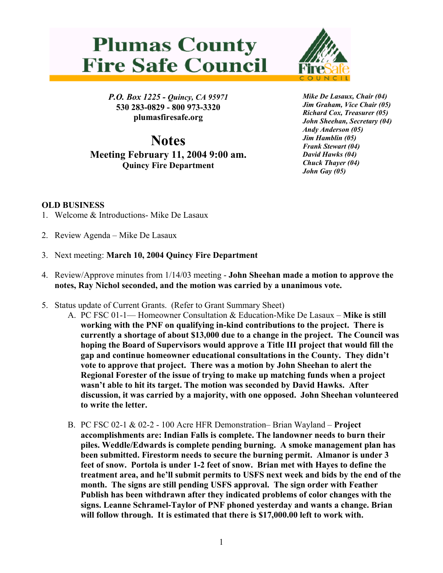## **Plumas County Fire Safe Council**



*P.O. Box 1225 - Quincy, CA 95971*  **530 283-0829 - 800 973-3320 plumasfiresafe.org** 

**Notes Meeting February 11, 2004 9:00 am. Quincy Fire Department**

*Mike De Lasaux, Chair (04) Jim Graham, Vice Chair (05) Richard Cox, Treasurer (05) John Sheehan, Secretary (04) Andy Anderson (05) Jim Hamblin (05) Frank Stewart (04) David Hawks (04) Chuck Thayer (04) John Gay (05)*

## **OLD BUSINESS**

- 1. Welcome & Introductions- Mike De Lasaux
- 2. Review Agenda Mike De Lasaux
- 3. Next meeting: **March 10, 2004 Quincy Fire Department**
- 4. Review/Approve minutes from 1/14/03 meeting **John Sheehan made a motion to approve the notes, Ray Nichol seconded, and the motion was carried by a unanimous vote.**
- 5. Status update of Current Grants. (Refer to Grant Summary Sheet)
	- A. PC FSC 01-1— Homeowner Consultation & Education-Mike De Lasaux **Mike is still working with the PNF on qualifying in-kind contributions to the project. There is currently a shortage of about \$13,000 due to a change in the project. The Council was hoping the Board of Supervisors would approve a Title III project that would fill the gap and continue homeowner educational consultations in the County. They didn't vote to approve that project. There was a motion by John Sheehan to alert the Regional Forester of the issue of trying to make up matching funds when a project wasn't able to hit its target. The motion was seconded by David Hawks. After discussion, it was carried by a majority, with one opposed. John Sheehan volunteered to write the letter.**
	- B. PC FSC 02-1 & 02-2 100 Acre HFR Demonstration– Brian Wayland – **Project accomplishments are: Indian Falls is complete. The landowner needs to burn their piles. Weddle/Edwards is complete pending burning. A smoke management plan has been submitted. Firestorm needs to secure the burning permit. Almanor is under 3 feet of snow. Portola is under 1-2 feet of snow. Brian met with Hayes to define the treatment area, and he'll submit permits to USFS next week and bids by the end of the month. The signs are still pending USFS approval. The sign order with Feather Publish has been withdrawn after they indicated problems of color changes with the signs. Leanne Schramel-Taylor of PNF phoned yesterday and wants a change. Brian will follow through. It is estimated that there is \$17,000.00 left to work with.**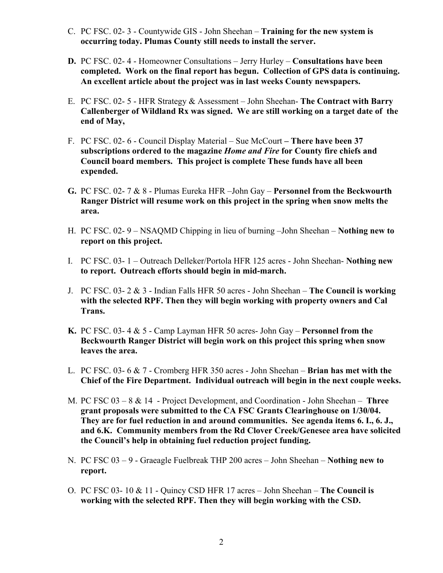- C. PC FSC. 02- 3 Countywide GIS John Sheehan **Training for the new system is occurring today. Plumas County still needs to install the server.**
- **D.** PC FSC. 02- 4 Homeowner Consultations Jerry Hurley **Consultations have been completed. Work on the final report has begun. Collection of GPS data is continuing. An excellent article about the project was in last weeks County newspapers.**
- E. PC FSC. 02- 5 HFR Strategy & Assessment John Sheehan- **The Contract with Barry Callenberger of Wildland Rx was signed. We are still working on a target date of the end of May,**
- F. PC FSC. 02- 6 Council Display Material Sue McCourt  **There have been 37 subscriptions ordered to the magazine** *Home and Fire* **for County fire chiefs and Council board members. This project is complete These funds have all been expended.**
- **G.** PC FSC. 02- 7 & 8 Plumas Eureka HFR –John Gay **Personnel from the Beckwourth Ranger District will resume work on this project in the spring when snow melts the area.**
- H. PC FSC. 02- 9 NSAQMD Chipping in lieu of burning –John Sheehan **Nothing new to report on this project.**
- I. PC FSC. 03- 1 Outreach Delleker/Portola HFR 125 acres John Sheehan- **Nothing new to report. Outreach efforts should begin in mid-march.**
- J. PC FSC. 03- 2 & 3 Indian Falls HFR 50 acres John Sheehan **The Council is working with the selected RPF. Then they will begin working with property owners and Cal Trans.**
- **K.** PC FSC. 03- 4 & 5 Camp Layman HFR 50 acres- John Gay **Personnel from the Beckwourth Ranger District will begin work on this project this spring when snow leaves the area.**
- L. PC FSC. 03- 6 & 7 Cromberg HFR 350 acres John Sheehan **Brian has met with the Chief of the Fire Department. Individual outreach will begin in the next couple weeks.**
- M. PC FSC 03 8 & 14 Project Development, and Coordination John Sheehan – **Three grant proposals were submitted to the CA FSC Grants Clearinghouse on 1/30/04. They are for fuel reduction in and around communities. See agenda items 6. I., 6. J., and 6.K. Community members from the Rd Clover Creek/Genesee area have solicited the Council's help in obtaining fuel reduction project funding.**
- N. PC FSC 03 9 Graeagle Fuelbreak THP 200 acres John Sheehan **Nothing new to report.**
- O. PC FSC 03- 10 & 11 Quincy CSD HFR 17 acres John Sheehan – **The Council is working with the selected RPF. Then they will begin working with the CSD.**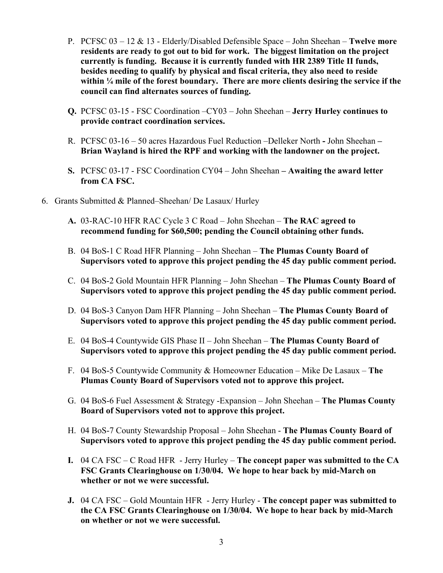- P. PCFSC 03 12 & 13 Elderly/Disabled Defensible Space John Sheehan **Twelve more residents are ready to got out to bid for work. The biggest limitation on the project currently is funding. Because it is currently funded with HR 2389 Title II funds, besides needing to qualify by physical and fiscal criteria, they also need to reside within ¼ mile of the forest boundary. There are more clients desiring the service if the council can find alternates sources of funding.**
- **Q.** PCFSC 03-15 FSC Coordination –CY03 John Sheehan **Jerry Hurley continues to provide contract coordination services.**
- R. PCFSC 03-16 50 acres Hazardous Fuel Reduction –Delleker North **-** John Sheehan **Brian Wayland is hired the RPF and working with the landowner on the project.**
- **S.** PCFSC 03-17 FSC Coordination CY04 John Sheehan **Awaiting the award letter from CA FSC.**
- 6. Grants Submitted & Planned–Sheehan/ De Lasaux/ Hurley
	- **A.** 03-RAC-10 HFR RAC Cycle 3 C Road John Sheehan **The RAC agreed to recommend funding for \$60,500; pending the Council obtaining other funds.**
	- B. 04 BoS-1 C Road HFR Planning John Sheehan **The Plumas County Board of Supervisors voted to approve this project pending the 45 day public comment period.**
	- C. 04 BoS-2 Gold Mountain HFR Planning John Sheehan **The Plumas County Board of Supervisors voted to approve this project pending the 45 day public comment period.**
	- D. 04 BoS-3 Canyon Dam HFR Planning John Sheehan **The Plumas County Board of Supervisors voted to approve this project pending the 45 day public comment period.**
	- E. 04 BoS-4 Countywide GIS Phase II John Sheehan **The Plumas County Board of Supervisors voted to approve this project pending the 45 day public comment period.**
	- F. 04 BoS-5 Countywide Community & Homeowner Education Mike De Lasaux **The Plumas County Board of Supervisors voted not to approve this project.**
	- G. 04 BoS-6 Fuel Assessment & Strategy -Expansion John Sheehan **The Plumas County Board of Supervisors voted not to approve this project.**
	- H. 04 BoS-7 County Stewardship Proposal John Sheehan **The Plumas County Board of Supervisors voted to approve this project pending the 45 day public comment period.**
	- **I.** 04 CA FSC C Road HFR Jerry Hurley **The concept paper was submitted to the CA FSC Grants Clearinghouse on 1/30/04. We hope to hear back by mid-March on whether or not we were successful.**
	- **J.** 04 CA FSC Gold Mountain HFR Jerry Hurley - **The concept paper was submitted to the CA FSC Grants Clearinghouse on 1/30/04. We hope to hear back by mid-March on whether or not we were successful.**